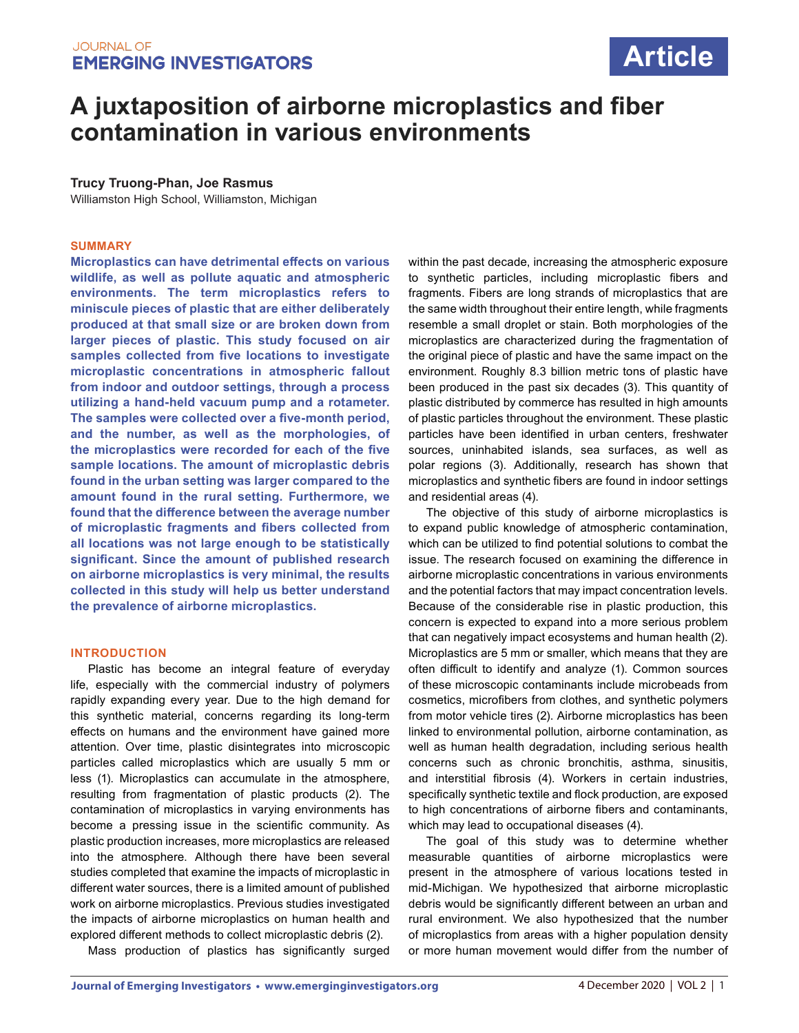# **Article**

## **A juxtaposition of airborne microplastics and fiber contamination in various environments**

## **Trucy Truong-Phan, Joe Rasmus**

Williamston High School, Williamston, Michigan

#### **SUMMARY**

**Microplastics can have detrimental effects on various wildlife, as well as pollute aquatic and atmospheric environments. The term microplastics refers to miniscule pieces of plastic that are either deliberately produced at that small size or are broken down from larger pieces of plastic. This study focused on air samples collected from five locations to investigate microplastic concentrations in atmospheric fallout from indoor and outdoor settings, through a process utilizing a hand-held vacuum pump and a rotameter. The samples were collected over a five-month period, and the number, as well as the morphologies, of the microplastics were recorded for each of the five sample locations. The amount of microplastic debris found in the urban setting was larger compared to the amount found in the rural setting. Furthermore, we found that the difference between the average number of microplastic fragments and fibers collected from all locations was not large enough to be statistically significant. Since the amount of published research on airborne microplastics is very minimal, the results collected in this study will help us better understand the prevalence of airborne microplastics.** 

#### **INTRODUCTION**

Plastic has become an integral feature of everyday life, especially with the commercial industry of polymers rapidly expanding every year. Due to the high demand for this synthetic material, concerns regarding its long-term effects on humans and the environment have gained more attention. Over time, plastic disintegrates into microscopic particles called microplastics which are usually 5 mm or less (1). Microplastics can accumulate in the atmosphere, resulting from fragmentation of plastic products (2). The contamination of microplastics in varying environments has become a pressing issue in the scientific community. As plastic production increases, more microplastics are released into the atmosphere. Although there have been several studies completed that examine the impacts of microplastic in different water sources, there is a limited amount of published work on airborne microplastics. Previous studies investigated the impacts of airborne microplastics on human health and explored different methods to collect microplastic debris (2).

Mass production of plastics has significantly surged

within the past decade, increasing the atmospheric exposure to synthetic particles, including microplastic fibers and fragments. Fibers are long strands of microplastics that are the same width throughout their entire length, while fragments resemble a small droplet or stain. Both morphologies of the microplastics are characterized during the fragmentation of the original piece of plastic and have the same impact on the environment. Roughly 8.3 billion metric tons of plastic have been produced in the past six decades (3). This quantity of plastic distributed by commerce has resulted in high amounts of plastic particles throughout the environment. These plastic particles have been identified in urban centers, freshwater sources, uninhabited islands, sea surfaces, as well as polar regions (3). Additionally, research has shown that microplastics and synthetic fibers are found in indoor settings and residential areas (4).

The objective of this study of airborne microplastics is to expand public knowledge of atmospheric contamination, which can be utilized to find potential solutions to combat the issue. The research focused on examining the difference in airborne microplastic concentrations in various environments and the potential factors that may impact concentration levels. Because of the considerable rise in plastic production, this concern is expected to expand into a more serious problem that can negatively impact ecosystems and human health (2). Microplastics are 5 mm or smaller, which means that they are often difficult to identify and analyze (1). Common sources of these microscopic contaminants include microbeads from cosmetics, microfibers from clothes, and synthetic polymers from motor vehicle tires (2). Airborne microplastics has been linked to environmental pollution, airborne contamination, as well as human health degradation, including serious health concerns such as chronic bronchitis, asthma, sinusitis, and interstitial fibrosis (4). Workers in certain industries, specifically synthetic textile and flock production, are exposed to high concentrations of airborne fibers and contaminants, which may lead to occupational diseases (4).

The goal of this study was to determine whether measurable quantities of airborne microplastics were present in the atmosphere of various locations tested in mid-Michigan. We hypothesized that airborne microplastic debris would be significantly different between an urban and rural environment. We also hypothesized that the number of microplastics from areas with a higher population density or more human movement would differ from the number of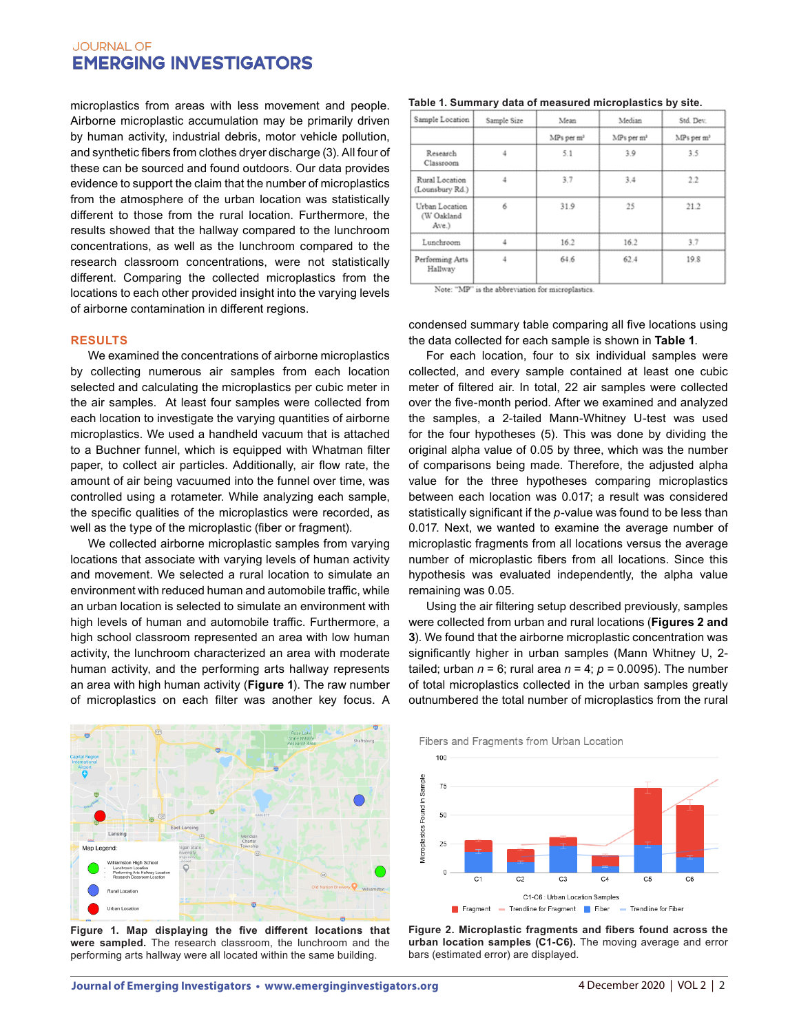microplastics from areas with less movement and people. Airborne microplastic accumulation may be primarily driven by human activity, industrial debris, motor vehicle pollution, and synthetic fibers from clothes dryer discharge (3). All four of these can be sourced and found outdoors. Our data provides evidence to support the claim that the number of microplastics from the atmosphere of the urban location was statistically different to those from the rural location. Furthermore, the results showed that the hallway compared to the lunchroom concentrations, as well as the lunchroom compared to the research classroom concentrations, were not statistically different. Comparing the collected microplastics from the locations to each other provided insight into the varying levels of airborne contamination in different regions.

#### **RESULTS**

We examined the concentrations of airborne microplastics by collecting numerous air samples from each location selected and calculating the microplastics per cubic meter in the air samples. At least four samples were collected from each location to investigate the varying quantities of airborne microplastics. We used a handheld vacuum that is attached to a Buchner funnel, which is equipped with Whatman filter paper, to collect air particles. Additionally, air flow rate, the amount of air being vacuumed into the funnel over time, was controlled using a rotameter. While analyzing each sample, the specific qualities of the microplastics were recorded, as well as the type of the microplastic (fiber or fragment).

We collected airborne microplastic samples from varying locations that associate with varying levels of human activity and movement. We selected a rural location to simulate an environment with reduced human and automobile traffic, while an urban location is selected to simulate an environment with high levels of human and automobile traffic. Furthermore, a high school classroom represented an area with low human activity, the lunchroom characterized an area with moderate human activity, and the performing arts hallway represents an area with high human activity (**Figure 1**). The raw number of microplastics on each filter was another key focus. A



**Figure 1. Map displaying the five different locations that were sampled.** The research classroom, the lunchroom and the performing arts hallway were all located within the same building.

| Table 1. Summary data of measured microplastics by site. |  |  |  |
|----------------------------------------------------------|--|--|--|
|----------------------------------------------------------|--|--|--|

| Sample Location                       | Sample Size | Mean                   | Median                 | Std. Dev.              |
|---------------------------------------|-------------|------------------------|------------------------|------------------------|
|                                       |             | MPs per m <sup>3</sup> | MPs per m <sup>1</sup> | MPs per m <sup>3</sup> |
| Research<br>Classroom                 | 4           | 5.1                    | 3.9                    | 3.5                    |
| Rural Location<br>(Lounsbury Rd.)     | 4           | 3.7                    | 3.4                    | 2.2                    |
| Urban Location<br>(W Oakland<br>Ave.) | 6           | 31.9                   | 25                     | 21.2                   |
| Lunchroom                             |             | 16.2                   | 16.2                   | 3.7                    |
| Performing Arts<br>Hallway            | 4           | 64.6                   | 62.4                   | 19.8                   |

Note: "MP" is the abbreviation for microplastics

condensed summary table comparing all five locations using the data collected for each sample is shown in **Table 1**.

For each location, four to six individual samples were collected, and every sample contained at least one cubic meter of filtered air. In total, 22 air samples were collected over the five-month period. After we examined and analyzed the samples, a 2-tailed Mann-Whitney U-test was used for the four hypotheses (5). This was done by dividing the original alpha value of 0.05 by three, which was the number of comparisons being made. Therefore, the adjusted alpha value for the three hypotheses comparing microplastics between each location was 0.017; a result was considered statistically significant if the *p*-value was found to be less than 0.017. Next, we wanted to examine the average number of microplastic fragments from all locations versus the average number of microplastic fibers from all locations. Since this hypothesis was evaluated independently, the alpha value remaining was 0.05.

Using the air filtering setup described previously, samples were collected from urban and rural locations (**Figures 2 and 3**). We found that the airborne microplastic concentration was significantly higher in urban samples (Mann Whitney U, 2 tailed; urban  $n = 6$ ; rural area  $n = 4$ ;  $p = 0.0095$ ). The number of total microplastics collected in the urban samples greatly outnumbered the total number of microplastics from the rural





**Figure 2. Microplastic fragments and fibers found across the urban location samples (C1-C6).** The moving average and error bars (estimated error) are displayed.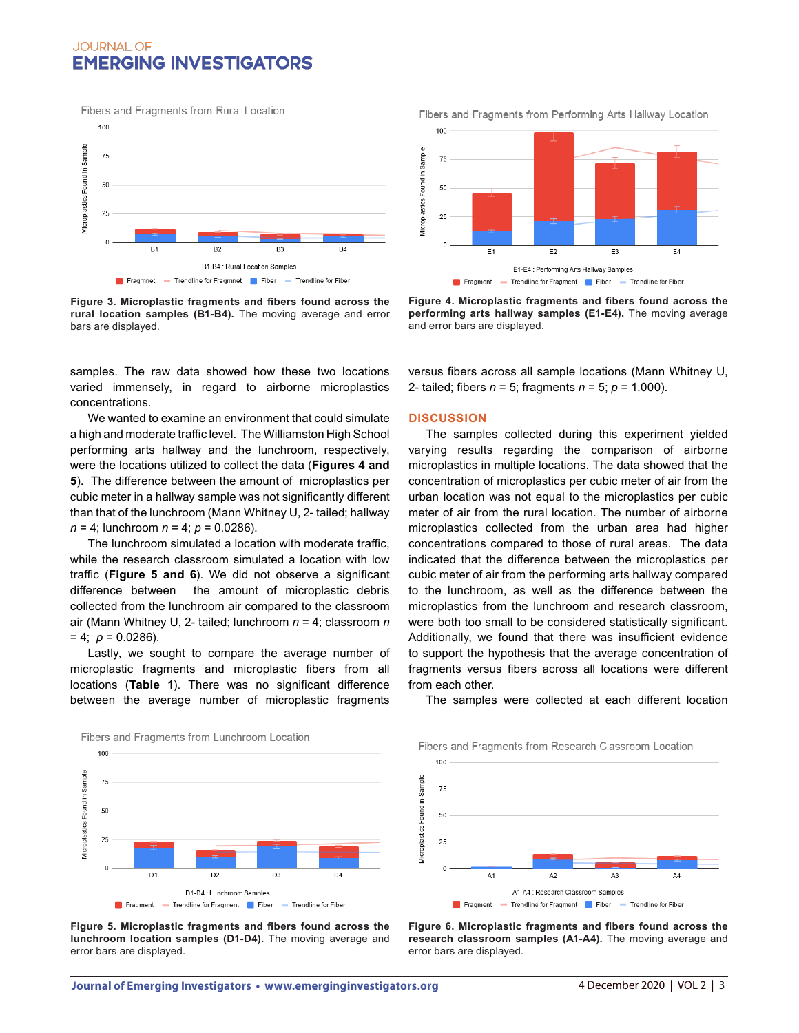100 Vicroplastics Found in Sample 75 50  $25$ B4 B1-B4 : Rural Location Samples Figure 1 Fragmnet - Trendline for Fragmnet Fiber - Trendline for Fiber

Fibers and Fragments from Rural Location



samples. The raw data showed how these two locations varied immensely, in regard to airborne microplastics concentrations.

We wanted to examine an environment that could simulate a high and moderate traffic level. The Williamston High School performing arts hallway and the lunchroom, respectively, were the locations utilized to collect the data (**Figures 4 and 5**). The difference between the amount of microplastics per cubic meter in a hallway sample was not significantly different than that of the lunchroom (Mann Whitney U, 2- tailed; hallway *n* = 4; lunchroom *n* = 4; *p* = 0.0286).

The lunchroom simulated a location with moderate traffic, while the research classroom simulated a location with low traffic (**Figure 5 and 6**). We did not observe a significant difference between the amount of microplastic debris collected from the lunchroom air compared to the classroom air (Mann Whitney U, 2- tailed; lunchroom *n* = 4; classroom *n*   $= 4$ ;  $p = 0.0286$ ).

Lastly, we sought to compare the average number of microplastic fragments and microplastic fibers from all locations (**Table 1**). There was no significant difference between the average number of microplastic fragments Fibers and Fragments from Performing Arts Hallway Location



**Figure 4. Microplastic fragments and fibers found across the performing arts hallway samples (E1-E4).** The moving average and error bars are displayed.

versus fibers across all sample locations (Mann Whitney U, 2- tailed; fibers *n* = 5; fragments *n* = 5; *p* = 1.000).

#### **DISCUSSION**

100

The samples collected during this experiment yielded varying results regarding the comparison of airborne microplastics in multiple locations. The data showed that the concentration of microplastics per cubic meter of air from the urban location was not equal to the microplastics per cubic meter of air from the rural location. The number of airborne microplastics collected from the urban area had higher concentrations compared to those of rural areas. The data indicated that the difference between the microplastics per cubic meter of air from the performing arts hallway compared to the lunchroom, as well as the difference between the microplastics from the lunchroom and research classroom, were both too small to be considered statistically significant. Additionally, we found that there was insufficient evidence to support the hypothesis that the average concentration of fragments versus fibers across all locations were different from each other.



The samples were collected at each different location

Microplastics Found in Sample  $75$ 50 25  $\circ$ A1  $A<sub>2</sub>$ A<sub>3</sub> A1-A4 : Research Classroom Samples Fragment - Trendline for Fragment Fiber - Trendline for Fiber

Fibers and Fragments from Research Classroom Location

**Figure 5. Microplastic fragments and fibers found across the lunchroom location samples (D1-D4).** The moving average and error bars are displayed.

**Figure 6. Microplastic fragments and fibers found across the research classroom samples (A1-A4).** The moving average and error bars are displayed.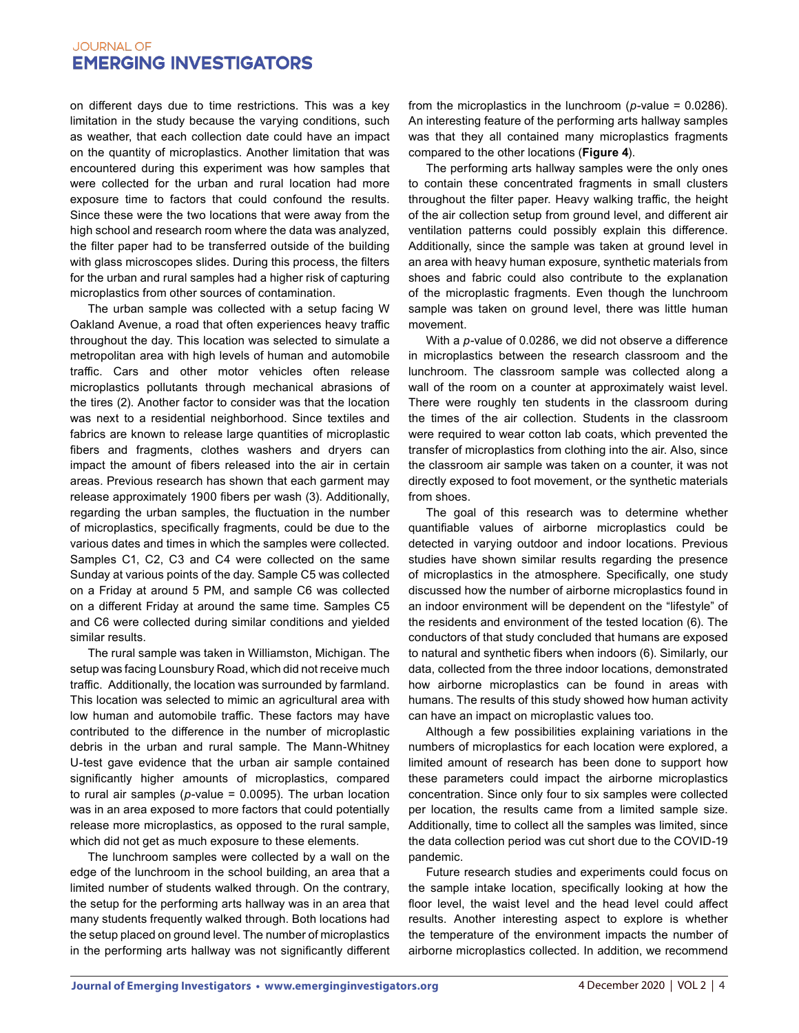on different days due to time restrictions. This was a key limitation in the study because the varying conditions, such as weather, that each collection date could have an impact on the quantity of microplastics. Another limitation that was encountered during this experiment was how samples that were collected for the urban and rural location had more exposure time to factors that could confound the results. Since these were the two locations that were away from the high school and research room where the data was analyzed, the filter paper had to be transferred outside of the building with glass microscopes slides. During this process, the filters for the urban and rural samples had a higher risk of capturing microplastics from other sources of contamination.

The urban sample was collected with a setup facing W Oakland Avenue, a road that often experiences heavy traffic throughout the day. This location was selected to simulate a metropolitan area with high levels of human and automobile traffic. Cars and other motor vehicles often release microplastics pollutants through mechanical abrasions of the tires (2). Another factor to consider was that the location was next to a residential neighborhood. Since textiles and fabrics are known to release large quantities of microplastic fibers and fragments, clothes washers and dryers can impact the amount of fibers released into the air in certain areas. Previous research has shown that each garment may release approximately 1900 fibers per wash (3). Additionally, regarding the urban samples, the fluctuation in the number of microplastics, specifically fragments, could be due to the various dates and times in which the samples were collected. Samples C1, C2, C3 and C4 were collected on the same Sunday at various points of the day. Sample C5 was collected on a Friday at around 5 PM, and sample C6 was collected on a different Friday at around the same time. Samples C5 and C6 were collected during similar conditions and yielded similar results.

The rural sample was taken in Williamston, Michigan. The setup was facing Lounsbury Road, which did not receive much traffic. Additionally, the location was surrounded by farmland. This location was selected to mimic an agricultural area with low human and automobile traffic. These factors may have contributed to the difference in the number of microplastic debris in the urban and rural sample. The Mann-Whitney U-test gave evidence that the urban air sample contained significantly higher amounts of microplastics, compared to rural air samples (*p*-value = 0.0095). The urban location was in an area exposed to more factors that could potentially release more microplastics, as opposed to the rural sample, which did not get as much exposure to these elements.

The lunchroom samples were collected by a wall on the edge of the lunchroom in the school building, an area that a limited number of students walked through. On the contrary, the setup for the performing arts hallway was in an area that many students frequently walked through. Both locations had the setup placed on ground level. The number of microplastics in the performing arts hallway was not significantly different from the microplastics in the lunchroom (*p*-value = 0.0286). An interesting feature of the performing arts hallway samples was that they all contained many microplastics fragments compared to the other locations (**Figure 4**).

The performing arts hallway samples were the only ones to contain these concentrated fragments in small clusters throughout the filter paper. Heavy walking traffic, the height of the air collection setup from ground level, and different air ventilation patterns could possibly explain this difference. Additionally, since the sample was taken at ground level in an area with heavy human exposure, synthetic materials from shoes and fabric could also contribute to the explanation of the microplastic fragments. Even though the lunchroom sample was taken on ground level, there was little human movement.

With a *p-*value of 0.0286, we did not observe a difference in microplastics between the research classroom and the lunchroom. The classroom sample was collected along a wall of the room on a counter at approximately waist level. There were roughly ten students in the classroom during the times of the air collection. Students in the classroom were required to wear cotton lab coats, which prevented the transfer of microplastics from clothing into the air. Also, since the classroom air sample was taken on a counter, it was not directly exposed to foot movement, or the synthetic materials from shoes.

The goal of this research was to determine whether quantifiable values of airborne microplastics could be detected in varying outdoor and indoor locations. Previous studies have shown similar results regarding the presence of microplastics in the atmosphere. Specifically, one study discussed how the number of airborne microplastics found in an indoor environment will be dependent on the "lifestyle" of the residents and environment of the tested location (6). The conductors of that study concluded that humans are exposed to natural and synthetic fibers when indoors (6). Similarly, our data, collected from the three indoor locations, demonstrated how airborne microplastics can be found in areas with humans. The results of this study showed how human activity can have an impact on microplastic values too.

Although a few possibilities explaining variations in the numbers of microplastics for each location were explored, a limited amount of research has been done to support how these parameters could impact the airborne microplastics concentration. Since only four to six samples were collected per location, the results came from a limited sample size. Additionally, time to collect all the samples was limited, since the data collection period was cut short due to the COVID-19 pandemic.

Future research studies and experiments could focus on the sample intake location, specifically looking at how the floor level, the waist level and the head level could affect results. Another interesting aspect to explore is whether the temperature of the environment impacts the number of airborne microplastics collected. In addition, we recommend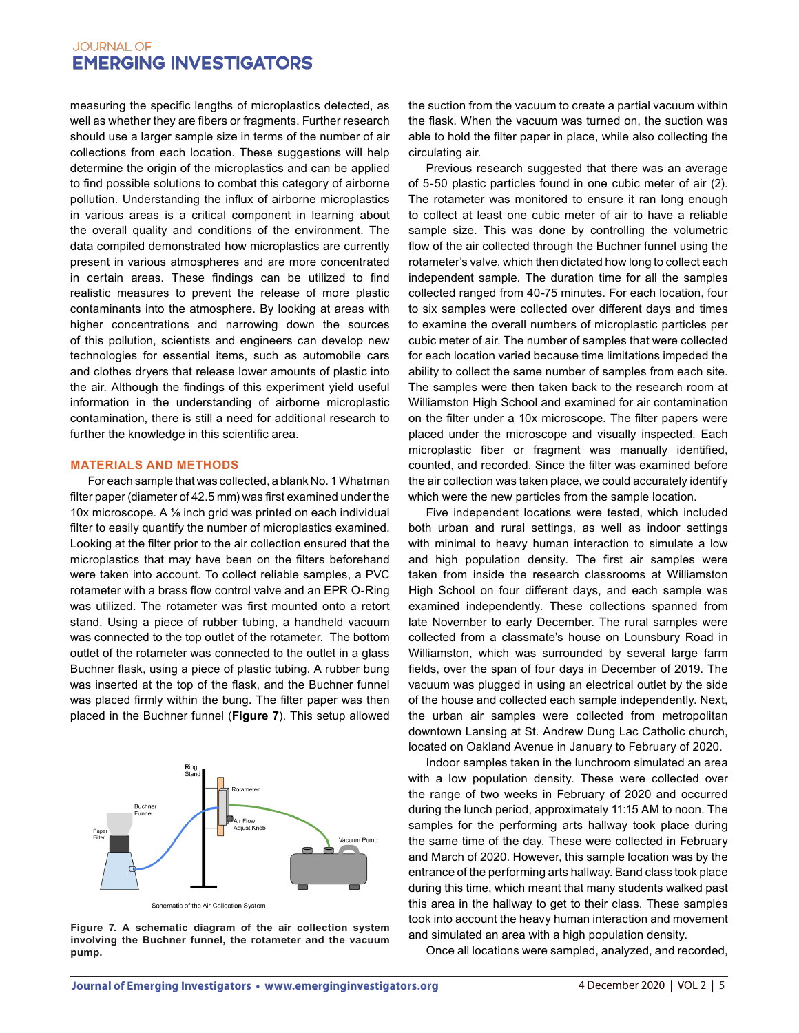measuring the specific lengths of microplastics detected, as well as whether they are fibers or fragments. Further research should use a larger sample size in terms of the number of air collections from each location. These suggestions will help determine the origin of the microplastics and can be applied to find possible solutions to combat this category of airborne pollution. Understanding the influx of airborne microplastics in various areas is a critical component in learning about the overall quality and conditions of the environment. The data compiled demonstrated how microplastics are currently present in various atmospheres and are more concentrated in certain areas. These findings can be utilized to find realistic measures to prevent the release of more plastic contaminants into the atmosphere. By looking at areas with higher concentrations and narrowing down the sources of this pollution, scientists and engineers can develop new technologies for essential items, such as automobile cars and clothes dryers that release lower amounts of plastic into the air. Although the findings of this experiment yield useful information in the understanding of airborne microplastic contamination, there is still a need for additional research to further the knowledge in this scientific area.

## **MATERIALS AND METHODS**

For each sample that was collected, a blank No. 1 Whatman filter paper (diameter of 42.5 mm) was first examined under the 10x microscope. A ⅛ inch grid was printed on each individual filter to easily quantify the number of microplastics examined. Looking at the filter prior to the air collection ensured that the microplastics that may have been on the filters beforehand were taken into account. To collect reliable samples, a PVC rotameter with a brass flow control valve and an EPR O-Ring was utilized. The rotameter was first mounted onto a retort stand. Using a piece of rubber tubing, a handheld vacuum was connected to the top outlet of the rotameter. The bottom outlet of the rotameter was connected to the outlet in a glass Buchner flask, using a piece of plastic tubing. A rubber bung was inserted at the top of the flask, and the Buchner funnel was placed firmly within the bung. The filter paper was then placed in the Buchner funnel (**Figure 7**). This setup allowed



**Figure 7. A schematic diagram of the air collection system involving the Buchner funnel, the rotameter and the vacuum pump.**

the suction from the vacuum to create a partial vacuum within the flask. When the vacuum was turned on, the suction was able to hold the filter paper in place, while also collecting the circulating air.

Previous research suggested that there was an average of 5-50 plastic particles found in one cubic meter of air (2). The rotameter was monitored to ensure it ran long enough to collect at least one cubic meter of air to have a reliable sample size. This was done by controlling the volumetric flow of the air collected through the Buchner funnel using the rotameter's valve, which then dictated how long to collect each independent sample. The duration time for all the samples collected ranged from 40-75 minutes. For each location, four to six samples were collected over different days and times to examine the overall numbers of microplastic particles per cubic meter of air. The number of samples that were collected for each location varied because time limitations impeded the ability to collect the same number of samples from each site. The samples were then taken back to the research room at Williamston High School and examined for air contamination on the filter under a 10x microscope. The filter papers were placed under the microscope and visually inspected. Each microplastic fiber or fragment was manually identified, counted, and recorded. Since the filter was examined before the air collection was taken place, we could accurately identify which were the new particles from the sample location.

Five independent locations were tested, which included both urban and rural settings, as well as indoor settings with minimal to heavy human interaction to simulate a low and high population density. The first air samples were taken from inside the research classrooms at Williamston High School on four different days, and each sample was examined independently. These collections spanned from late November to early December. The rural samples were collected from a classmate's house on Lounsbury Road in Williamston, which was surrounded by several large farm fields, over the span of four days in December of 2019. The vacuum was plugged in using an electrical outlet by the side of the house and collected each sample independently. Next, the urban air samples were collected from metropolitan downtown Lansing at St. Andrew Dung Lac Catholic church, located on Oakland Avenue in January to February of 2020.

Indoor samples taken in the lunchroom simulated an area with a low population density. These were collected over the range of two weeks in February of 2020 and occurred during the lunch period, approximately 11:15 AM to noon. The samples for the performing arts hallway took place during the same time of the day. These were collected in February and March of 2020. However, this sample location was by the entrance of the performing arts hallway. Band class took place during this time, which meant that many students walked past this area in the hallway to get to their class. These samples took into account the heavy human interaction and movement and simulated an area with a high population density.

Once all locations were sampled, analyzed, and recorded,